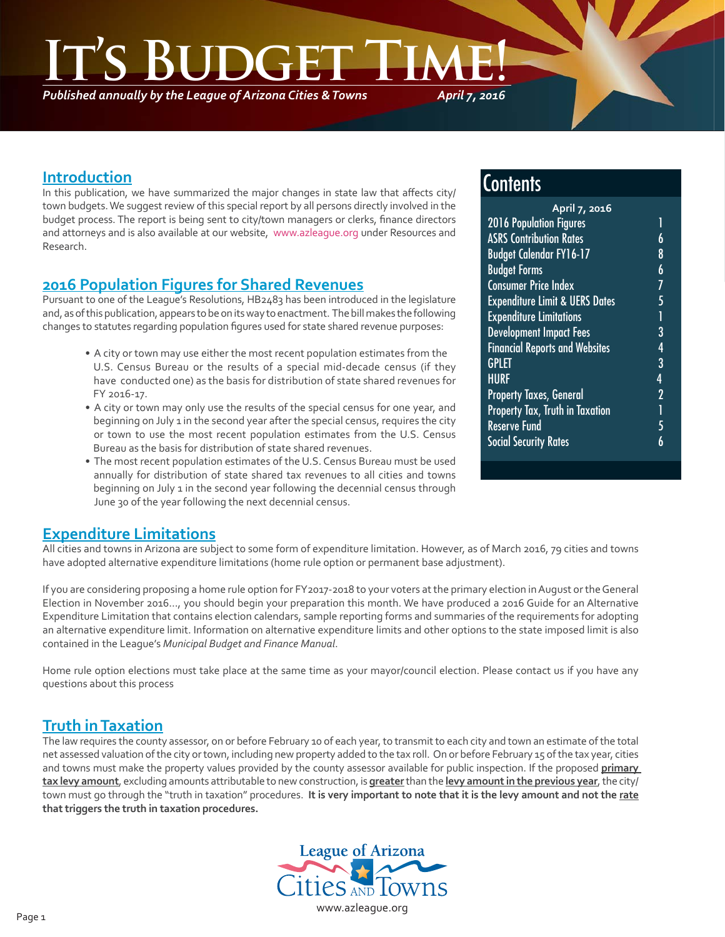*Published annually by the League of Arizona Cities & Towns*

*April 7, 2016*

#### **Introduction**

In this publication, we have summarized the major changes in state law that affects city/ town budgets. We suggest review of this special report by all persons directly involved in the budget process. The report is being sent to city/town managers or clerks, finance directors and attorneys and is also available at our website, www.azleague.org under Resources and Research.

#### **2016 Population Figures for Shared Revenues**

Pursuant to one of the League's Resolutions, HB2483 has been introduced in the legislature and, as of this publication, appears to be on its way to enactment. The bill makes the following changes to statutes regarding population figures used for state shared revenue purposes:

- A city or town may use either the most recent population estimates from the U.S. Census Bureau or the results of a special mid-decade census (if they have conducted one) as the basis for distribution of state shared revenues for FY 2016-17.
- A city or town may only use the results of the special census for one year, and beginning on July 1 in the second year after the special census, requires the city or town to use the most recent population estimates from the U.S. Census Bureau as the basis for distribution of state shared revenues.
- The most recent population estimates of the U.S. Census Bureau must be used annually for distribution of state shared tax revenues to all cities and towns beginning on July 1 in the second year following the decennial census through June 30 of the year following the next decennial census.

#### **Contents**

| 1              |  |
|----------------|--|
| 6              |  |
| 8              |  |
| 6              |  |
| 7              |  |
| 5              |  |
| Ĩ              |  |
| 3              |  |
| 4              |  |
| 3              |  |
| 4              |  |
| $\overline{2}$ |  |
| l              |  |
| 5              |  |
| 6              |  |
|                |  |

#### **Expenditure Limitations**

All cities and towns in Arizona are subject to some form of expenditure limitation. However, as of March 2016, 79 cities and towns have adopted alternative expenditure limitations (home rule option or permanent base adjustment).

If you are considering proposing a home rule option for FY2017-2018 to your voters at the primary election in August or the General Election in November 2016…, you should begin your preparation this month. We have produced a 2016 Guide for an Alternative Expenditure Limitation that contains election calendars, sample reporting forms and summaries of the requirements for adopting an alternative expenditure limit. Information on alternative expenditure limits and other options to the state imposed limit is also contained in the League's *Municipal Budget and Finance Manual*.

Home rule option elections must take place at the same time as your mayor/council election. Please contact us if you have any questions about this process

#### **Truth in Taxation**

The law requires the county assessor, on or before February 10 of each year, to transmit to each city and town an estimate of the total net assessed valuation of the city or town, including new property added to the tax roll. On or before February 15 of the tax year, cities and towns must make the property values provided by the county assessor available for public inspection. If the proposed **primary tax levy amount**, excluding amounts attributable to new construction, is **greater** than the **levy amount in the previous year**, the city/ town must go through the "truth in taxation" procedures. **It is very important to note that it is the levy amount and not the rate that triggers the truth in taxation procedures.** 

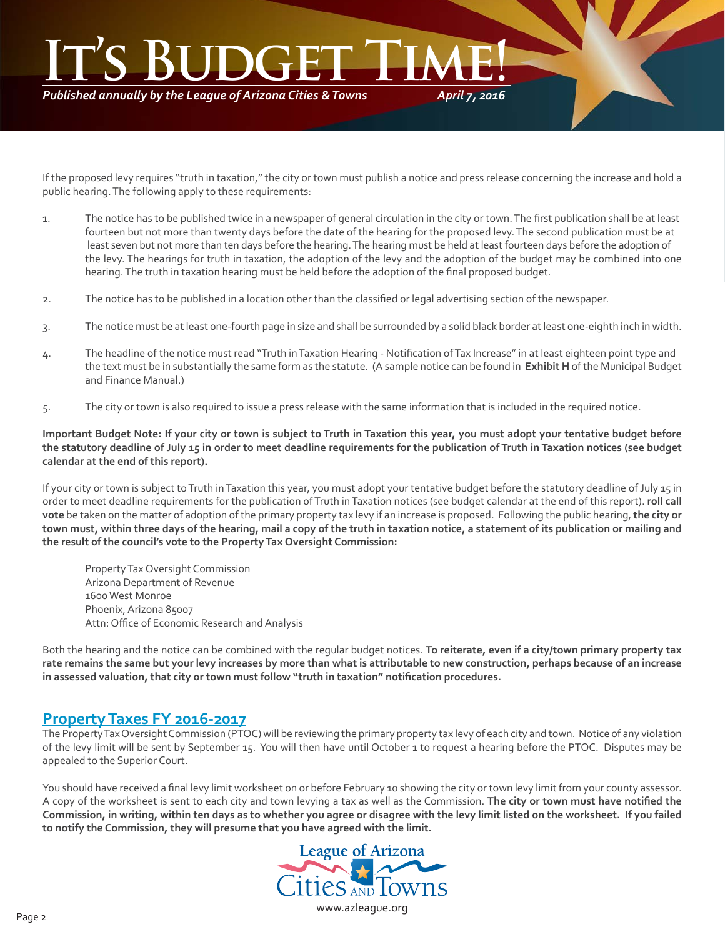### *April 7, 2016* IT'S BUDGET TIME!

*Published annually by the League of Arizona Cities & Towns*

If the proposed levy requires "truth in taxation," the city or town must publish a notice and press release concerning the increase and hold a public hearing. The following apply to these requirements:

- 1. The notice has to be published twice in a newspaper of general circulation in the city or town. The first publication shall be at least fourteen but not more than twenty days before the date of the hearing for the proposed levy. The second publication must be at least seven but not more than ten days before the hearing. The hearing must be held at least fourteen days before the adoption of the levy. The hearings for truth in taxation, the adoption of the levy and the adoption of the budget may be combined into one hearing. The truth in taxation hearing must be held before the adoption of the final proposed budget.
- 2. The notice has to be published in a location other than the classified or legal advertising section of the newspaper.
- 3. The notice must be at least one-fourth page in size and shall be surrounded by a solid black border at least one-eighth inch in width.
- 4. The headline of the notice must read "Truth in Taxation Hearing Notification of Tax Increase" in at least eighteen point type and the text must be in substantially the same form as the statute. (A sample notice can be found in **Exhibit H** of the Municipal Budget and Finance Manual.)
- 5. The city or town is also required to issue a press release with the same information that is included in the required notice.

**Important Budget Note: If your city or town is subject to Truth in Taxation this year, you must adopt your tentative budget before the statutory deadline of July 15 in order to meet deadline requirements for the publication of Truth in Taxation notices (see budget calendar at the end of this report).**

If your city or town is subject to Truth in Taxation this year, you must adopt your tentative budget before the statutory deadline of July 15 in order to meet deadline requirements for the publication of Truth in Taxation notices (see budget calendar at the end of this report). **roll call vote** be taken on the matter of adoption of the primary property tax levy if an increase is proposed. Following the public hearing,**the city or town must, within three days of the hearing, mail a copy of the truth in taxation notice, a statement of its publication or mailing and the result of the council's vote to the Property Tax Oversight Commission:**

 Property Tax Oversight Commission Arizona Department of Revenue 1600 West Monroe Phoenix, Arizona 85007 Attn: Office of Economic Research and Analysis

Both the hearing and the notice can be combined with the regular budget notices. **To reiterate, even if a city/town primary property tax rate remains the same but your levy increases by more than what is attributable to new construction, perhaps because of an increase in assessed valuation, that city or town must follow "truth in taxation" notifi cation procedures.**

#### **Property Taxes FY 2016-2017**

The Property Tax Oversight Commission (PTOC) will be reviewing the primary property tax levy of each city and town. Notice of any violation of the levy limit will be sent by September 15. You will then have until October 1 to request a hearing before the PTOC. Disputes may be appealed to the Superior Court.

You should have received a final levy limit worksheet on or before February 10 showing the city or town levy limit from your county assessor. A copy of the worksheet is sent to each city and town levying a tax as well as the Commission. **The city or town must have notifi ed the Commission, in writing, within ten days as to whether you agree or disagree with the levy limit listed on the worksheet. If you failed to notify the Commission, they will presume that you have agreed with the limit.**

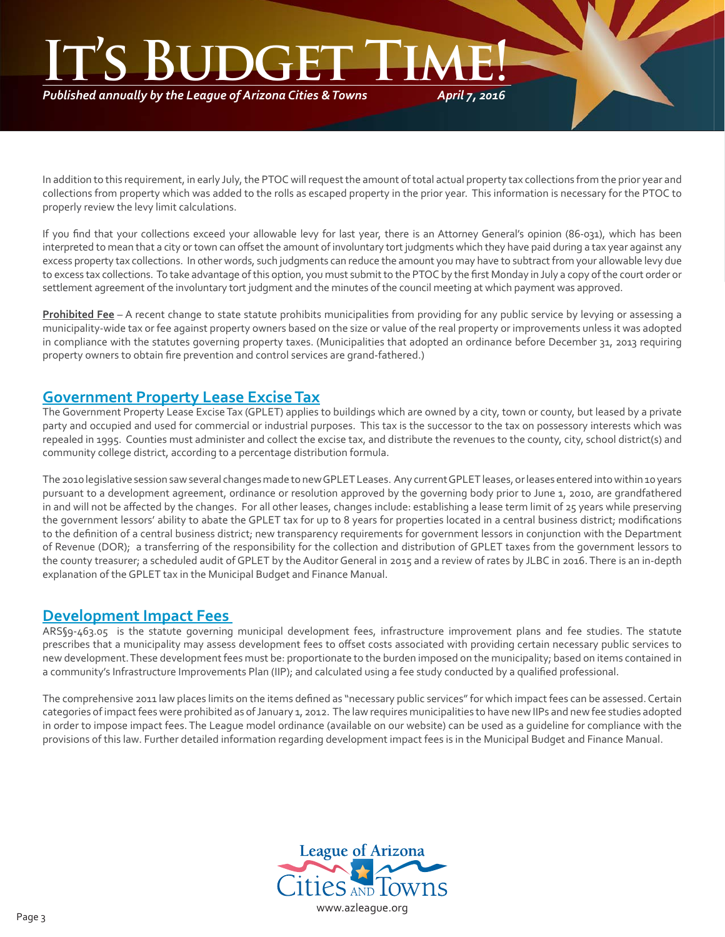### *April 7, 2016* IT'S BUDGET TIME!

*Published annually by the League of Arizona Cities & Towns*

In addition to this requirement, in early July, the PTOC will request the amount of total actual property tax collections from the prior year and collections from property which was added to the rolls as escaped property in the prior year. This information is necessary for the PTOC to properly review the levy limit calculations.

If you find that your collections exceed your allowable levy for last year, there is an Attorney General's opinion (86-031), which has been interpreted to mean that a city or town can offset the amount of involuntary tort judgments which they have paid during a tax year against any excess property tax collections. In other words, such judgments can reduce the amount you may have to subtract from your allowable levy due to excess tax collections. To take advantage of this option, you must submit to the PTOC by the first Monday in July a copy of the court order or settlement agreement of the involuntary tort judgment and the minutes of the council meeting at which payment was approved.

**Prohibited Fee** – A recent change to state statute prohibits municipalities from providing for any public service by levying or assessing a municipality-wide tax or fee against property owners based on the size or value of the real property or improvements unless it was adopted in compliance with the statutes governing property taxes. (Municipalities that adopted an ordinance before December 31, 2013 requiring property owners to obtain fire prevention and control services are grand-fathered.)

#### **Government Property Lease Excise Tax**

The Government Property Lease Excise Tax (GPLET) applies to buildings which are owned by a city, town or county, but leased by a private party and occupied and used for commercial or industrial purposes. This tax is the successor to the tax on possessory interests which was repealed in 1995. Counties must administer and collect the excise tax, and distribute the revenues to the county, city, school district(s) and community college district, according to a percentage distribution formula.

The 2010 legislative session saw several changes made to new GPLET Leases. Any current GPLET leases, or leases entered into within 10 years pursuant to a development agreement, ordinance or resolution approved by the governing body prior to June 1, 2010, are grandfathered in and will not be affected by the changes. For all other leases, changes include: establishing a lease term limit of 25 years while preserving the government lessors' ability to abate the GPLET tax for up to 8 years for properties located in a central business district; modifications to the definition of a central business district; new transparency requirements for government lessors in conjunction with the Department of Revenue (DOR); a transferring of the responsibility for the collection and distribution of GPLET taxes from the government lessors to the county treasurer; a scheduled audit of GPLET by the Auditor General in 2015 and a review of rates by JLBC in 2016. There is an in-depth explanation of the GPLET tax in the Municipal Budget and Finance Manual.

#### **Development Impact Fees**

ARS§9-463.05 is the statute governing municipal development fees, infrastructure improvement plans and fee studies. The statute prescribes that a municipality may assess development fees to offset costs associated with providing certain necessary public services to new development. These development fees must be: proportionate to the burden imposed on the municipality; based on items contained in a community's Infrastructure Improvements Plan (IIP); and calculated using a fee study conducted by a qualified professional.

The comprehensive 2011 law places limits on the items defined as "necessary public services" for which impact fees can be assessed. Certain categories of impact fees were prohibited as of January 1, 2012. The law requires municipalities to have new IIPs and new fee studies adopted in order to impose impact fees. The League model ordinance (available on our website) can be used as a guideline for compliance with the provisions of this law. Further detailed information regarding development impact fees is in the Municipal Budget and Finance Manual.

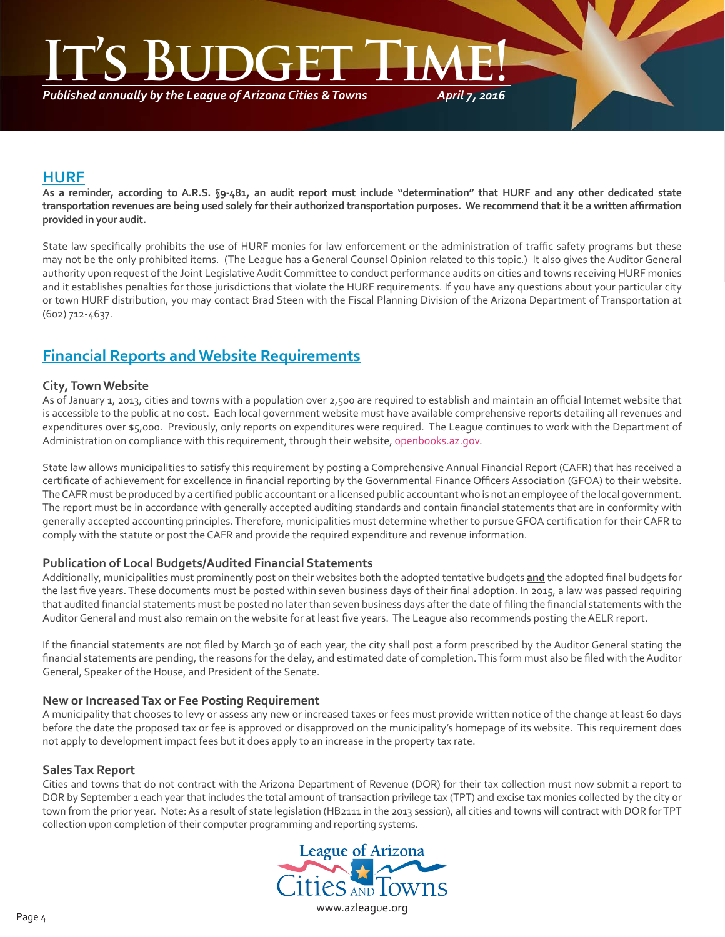*April 7, 2016* **Inclean** 

*Published annually by the League of Arizona Cities & Towns*

#### **HURF**

**As a reminder, according to A.R.S. §9-481, an audit report must include "determination" that HURF and any other dedicated state transportation revenues are being used solely for their authorized transportation purposes. We recommend that it be a written affi rmation provided in your audit.**

State law specifically prohibits the use of HURF monies for law enforcement or the administration of traffic safety programs but these may not be the only prohibited items. (The League has a General Counsel Opinion related to this topic.) It also gives the Auditor General authority upon request of the Joint Legislative Audit Committee to conduct performance audits on cities and towns receiving HURF monies and it establishes penalties for those jurisdictions that violate the HURF requirements. If you have any questions about your particular city or town HURF distribution, you may contact Brad Steen with the Fiscal Planning Division of the Arizona Department of Transportation at (602) 712-4637.

#### **Financial Reports and Website Requirements**

#### **City, Town Website**

As of January 1, 2013, cities and towns with a population over 2,500 are required to establish and maintain an official Internet website that is accessible to the public at no cost. Each local government website must have available comprehensive reports detailing all revenues and expenditures over \$5,000. Previously, only reports on expenditures were required. The League continues to work with the Department of Administration on compliance with this requirement, through their website, openbooks.az.gov.

State law allows municipalities to satisfy this requirement by posting a Comprehensive Annual Financial Report (CAFR) that has received a certificate of achievement for excellence in financial reporting by the Governmental Finance Officers Association (GFOA) to their website. The CAFR must be produced by a certified public accountant or a licensed public accountant who is not an employee of the local government. The report must be in accordance with generally accepted auditing standards and contain financial statements that are in conformity with generally accepted accounting principles. Therefore, municipalities must determine whether to pursue GFOA certification for their CAFR to comply with the statute or post the CAFR and provide the required expenditure and revenue information.

#### **Publication of Local Budgets/Audited Financial Statements**

Additionally, municipalities must prominently post on their websites both the adopted tentative budgets and the adopted final budgets for the last five years. These documents must be posted within seven business days of their final adoption. In 2015, a law was passed requiring that audited financial statements must be posted no later than seven business days after the date of filing the financial statements with the Auditor General and must also remain on the website for at least five years. The League also recommends posting the AELR report.

If the financial statements are not filed by March 30 of each year, the city shall post a form prescribed by the Auditor General stating the financial statements are pending, the reasons for the delay, and estimated date of completion. This form must also be filed with the Auditor General, Speaker of the House, and President of the Senate.

#### **New or Increased Tax or Fee Posting Requirement**

A municipality that chooses to levy or assess any new or increased taxes or fees must provide written notice of the change at least 60 days before the date the proposed tax or fee is approved or disapproved on the municipality's homepage of its website. This requirement does not apply to development impact fees but it does apply to an increase in the property tax rate.

#### **Sales Tax Report**

Cities and towns that do not contract with the Arizona Department of Revenue (DOR) for their tax collection must now submit a report to DOR by September 1 each year that includes the total amount of transaction privilege tax (TPT) and excise tax monies collected by the city or town from the prior year. Note: As a result of state legislation (HB2111 in the 2013 session), all cities and towns will contract with DOR for TPT collection upon completion of their computer programming and reporting systems.

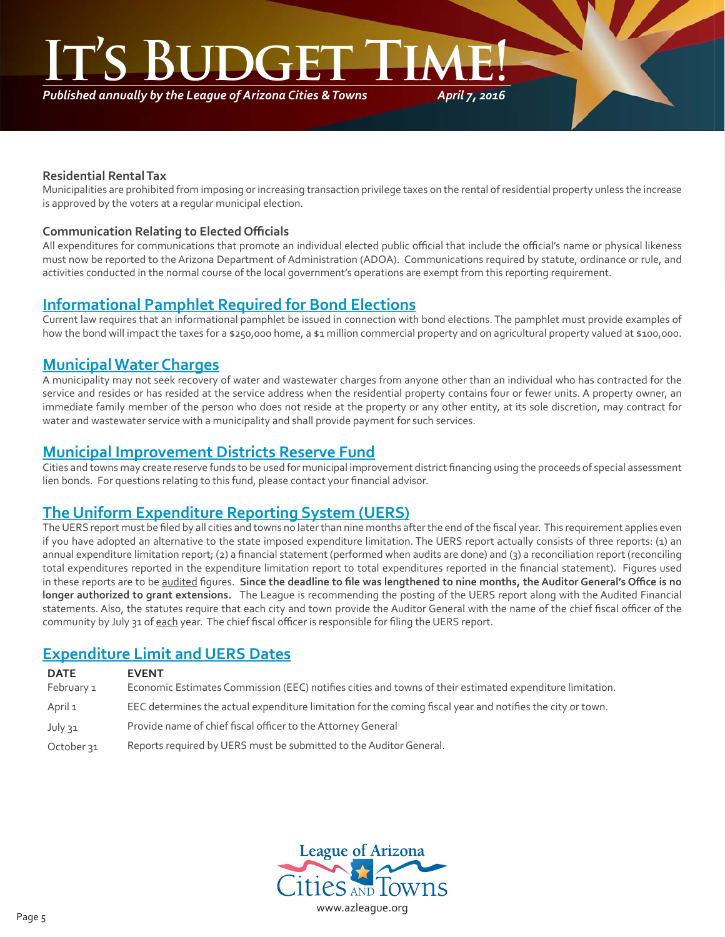*Published annually by the League of Arizona Cities & Towns*

*April 7, 2016*

#### **Residential Rental Tax**

Municipalities are prohibited from imposing or increasing transaction privilege taxes on the rental of residential property unless the increase is approved by the voters at a regular municipal election.

#### **Communication Relating to Elected Offi cials**

All expenditures for communications that promote an individual elected public official that include the official's name or physical likeness must now be reported to the Arizona Department of Administration (ADOA). Communications required by statute, ordinance or rule, and activities conducted in the normal course of the local government's operations are exempt from this reporting requirement.

#### **Informational Pamphlet Required for Bond Elections**

Current law requires that an informational pamphlet be issued in connection with bond elections. The pamphlet must provide examples of how the bond will impact the taxes for a \$250,000 home, a \$1 million commercial property and on agricultural property valued at \$100,000.

#### **Municipal Water Charges**

A municipality may not seek recovery of water and wastewater charges from anyone other than an individual who has contracted for the service and resides or has resided at the service address when the residential property contains four or fewer units. A property owner, an immediate family member of the person who does not reside at the property or any other entity, at its sole discretion, may contract for water and wastewater service with a municipality and shall provide payment for such services.

#### **Municipal Improvement Districts Reserve Fund**

Cities and towns may create reserve funds to be used for municipal improvement district financing using the proceeds of special assessment lien bonds. For questions relating to this fund, please contact your financial advisor.

#### **The Uniform Expenditure Reporting System (UERS)**

The UERS report must be filed by all cities and towns no later than nine months after the end of the fiscal year. This requirement applies even if you have adopted an alternative to the state imposed expenditure limitation. The UERS report actually consists of three reports: (1) an annual expenditure limitation report; (2) a financial statement (performed when audits are done) and (3) a reconciliation report (reconciling total expenditures reported in the expenditure limitation report to total expenditures reported in the financial statement). Figures used in these reports are to be audited figures. Since the deadline to file was lengthened to nine months, the Auditor General's Office is no **longer authorized to grant extensions.** The League is recommending the posting of the UERS report along with the Audited Financial statements. Also, the statutes require that each city and town provide the Auditor General with the name of the chief fiscal officer of the community by July 31 of each year. The chief fiscal officer is responsible for filing the UERS report.

#### **Expenditure Limit and UERS Dates**

| <b>EVENT</b><br>Economic Estimates Commission (EEC) notifies cities and towns of their estimated expenditure limitation. |
|--------------------------------------------------------------------------------------------------------------------------|
| EEC determines the actual expenditure limitation for the coming fiscal year and notifies the city or town.               |
| Provide name of chief fiscal officer to the Attorney General                                                             |
| Reports required by UERS must be submitted to the Auditor General.                                                       |
|                                                                                                                          |

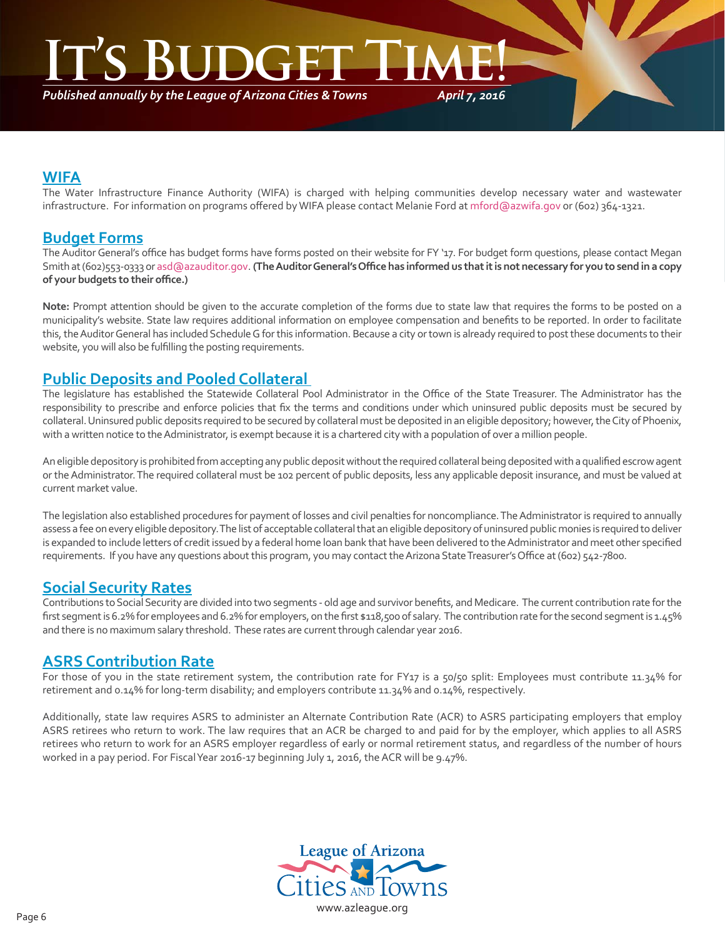### **INGER**

*Published annually by the League of Arizona Cities & Towns*

*April 7, 2016*

#### **WIFA**

The Water Infrastructure Finance Authority (WIFA) is charged with helping communities develop necessary water and wastewater infrastructure. For information on programs offered by WIFA please contact Melanie Ford at mford@azwifa.gov or (602) 364-1321.

#### **Budget Forms**

The Auditor General's office has budget forms have forms posted on their website for FY '17. For budget form questions, please contact Megan Smith at (602)553-0333 or asd@azauditor.gov. **(The Auditor General's Offi ce has informed us that it is not necessary for you to send in a copy of your budgets to their offi ce.)** 

**Note:** Prompt attention should be given to the accurate completion of the forms due to state law that requires the forms to be posted on a municipality's website. State law requires additional information on employee compensation and benefits to be reported. In order to facilitate this, the Auditor General has included Schedule G for this information. Because a city or town is already required to post these documents to their website, you will also be fulfilling the posting requirements.

#### **Public Deposits and Pooled Collateral**

The legislature has established the Statewide Collateral Pool Administrator in the Office of the State Treasurer. The Administrator has the responsibility to prescribe and enforce policies that fix the terms and conditions under which uninsured public deposits must be secured by collateral. Uninsured public deposits required to be secured by collateral must be deposited in an eligible depository; however, the City of Phoenix, with a written notice to the Administrator, is exempt because it is a chartered city with a population of over a million people.

An eligible depository is prohibited from accepting any public deposit without the required collateral being deposited with a qualified escrow agent or the Administrator. The required collateral must be 102 percent of public deposits, less any applicable deposit insurance, and must be valued at current market value.

The legislation also established procedures for payment of losses and civil penalties for noncompliance. The Administrator is required to annually assess a fee on every eligible depository. The list of acceptable collateral that an eligible depository of uninsured public monies is required to deliver is expanded to include letters of credit issued by a federal home loan bank that have been delivered to the Administrator and meet other specified requirements. If you have any questions about this program, you may contact the Arizona State Treasurer's Office at (602) 542-7800.

#### **Social Security Rates**

Contributions to Social Security are divided into two segments - old age and survivor benefits, and Medicare. The current contribution rate for the first segment is 6.2% for employees and 6.2% for employers, on the first \$118,500 of salary. The contribution rate for the second segment is 1.45% and there is no maximum salary threshold. These rates are current through calendar year 2016.

#### **ASRS Contribution Rate**

For those of you in the state retirement system, the contribution rate for FY17 is a 50/50 split: Employees must contribute 11.34% for retirement and 0.14% for long-term disability; and employers contribute 11.34% and 0.14%, respectively.

Additionally, state law requires ASRS to administer an Alternate Contribution Rate (ACR) to ASRS participating employers that employ ASRS retirees who return to work. The law requires that an ACR be charged to and paid for by the employer, which applies to all ASRS retirees who return to work for an ASRS employer regardless of early or normal retirement status, and regardless of the number of hours worked in a pay period. For Fiscal Year 2016-17 beginning July 1, 2016, the ACR will be 9.47%.

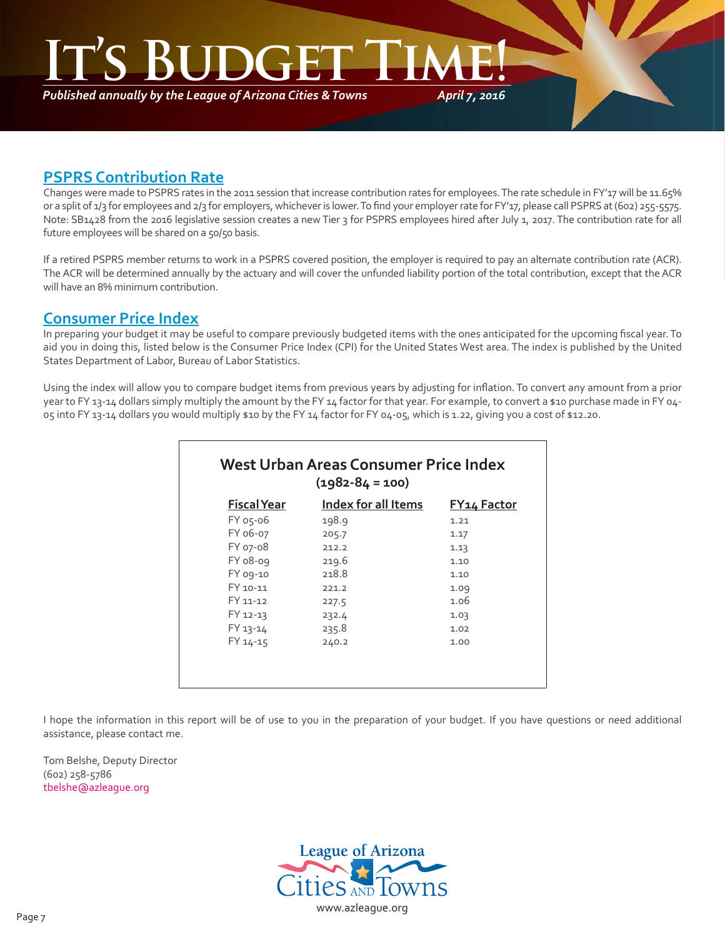*Published annually by the League of Arizona Cities & Towns*

*April 7, 2016*

#### **PSPRS Contribution Rate**

Changes were made to PSPRS rates in the 2011 session that increase contribution rates for employees. The rate schedule in FY'17 will be 11.65% or a split of 1/3 for employees and 2/3 for employers, whichever is lower. To find your employer rate for FY'17, please call PSPRS at (602) 255-5575. Note: SB1428 from the 2016 legislative session creates a new Tier 3 for PSPRS employees hired after July 1, 2017. The contribution rate for all future employees will be shared on a 50/50 basis.

If a retired PSPRS member returns to work in a PSPRS covered position, the employer is required to pay an alternate contribution rate (ACR). The ACR will be determined annually by the actuary and will cover the unfunded liability portion of the total contribution, except that the ACR will have an 8% minimum contribution.

#### **Consumer Price Index**

In preparing your budget it may be useful to compare previously budgeted items with the ones anticipated for the upcoming fiscal year. To aid you in doing this, listed below is the Consumer Price Index (CPI) for the United States West area. The index is published by the United States Department of Labor, Bureau of Labor Statistics.

Using the index will allow you to compare budget items from previous years by adjusting for inflation. To convert any amount from a prior year to FY 13-14 dollars simply multiply the amount by the FY 14 factor for that year. For example, to convert a \$10 purchase made in FY 04-05 into FY 13-14 dollars you would multiply \$10 by the FY 14 factor for FY 04-05, which is 1.22, giving you a cost of \$12.20.

| $(1982 - 84 = 100)$ |                            |                    |  |  |  |
|---------------------|----------------------------|--------------------|--|--|--|
| <b>Fiscal Year</b>  | <b>Index for all Items</b> | <b>FY14 Factor</b> |  |  |  |
| FY 05-06            | 198.9                      | 1.21               |  |  |  |
| FY 06-07            | 205.7                      | 1.17               |  |  |  |
| FY 07-08            | 212.2                      | 1.13               |  |  |  |
| FY 08-09            | 219.6                      | 1.10               |  |  |  |
| FY 09-10            | 218.8                      | 1.10               |  |  |  |
| FY 10-11            | 221.2                      | 1.09               |  |  |  |
| FY 11-12            | 227.5                      | 1.06               |  |  |  |
| FY 12-13            | 232.4                      | 1.03               |  |  |  |
| FY 13-14            | 235.8                      | 1.02               |  |  |  |
| FY 14-15            | 240.2                      | 1.00               |  |  |  |

I hope the information in this report will be of use to you in the preparation of your budget. If you have questions or need additional assistance, please contact me.

Tom Belshe, Deputy Director (602) 258-5786 tbelshe@azleague.org

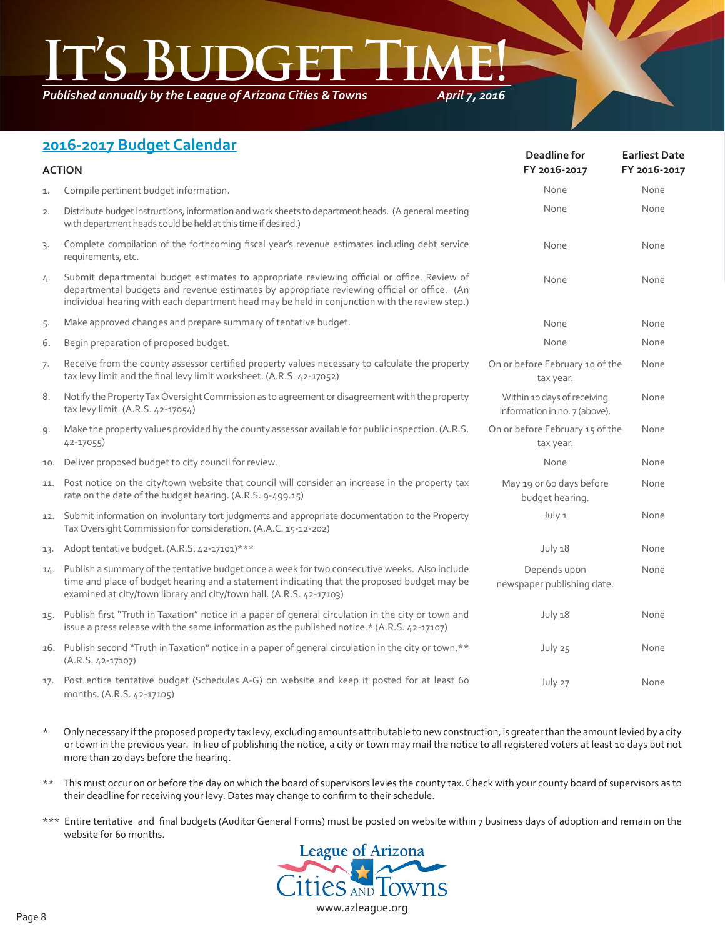*Published annually by the League of Arizona Cities & Towns*

*April 7, 2016*

#### **2016-2017 Budget Calendar**

| <b>ACTION</b> |                                                                                                                                                                                                                                                                                              | Deadline for<br>FY 2016-2017                                 | <b>Earliest Date</b><br>FY 2016-2017 |
|---------------|----------------------------------------------------------------------------------------------------------------------------------------------------------------------------------------------------------------------------------------------------------------------------------------------|--------------------------------------------------------------|--------------------------------------|
| 1.            | Compile pertinent budget information.                                                                                                                                                                                                                                                        | None                                                         | None                                 |
| 2.            | Distribute budget instructions, information and work sheets to department heads. (A general meeting<br>with department heads could be held at this time if desired.)                                                                                                                         | None                                                         | None                                 |
| 3.            | Complete compilation of the forthcoming fiscal year's revenue estimates including debt service<br>requirements, etc.                                                                                                                                                                         | None                                                         | None                                 |
| 4.            | Submit departmental budget estimates to appropriate reviewing official or office. Review of<br>departmental budgets and revenue estimates by appropriate reviewing official or office. (An<br>individual hearing with each department head may be held in conjunction with the review step.) | None                                                         | None                                 |
| 5.            | Make approved changes and prepare summary of tentative budget.                                                                                                                                                                                                                               | None                                                         | None                                 |
| 6.            | Begin preparation of proposed budget.                                                                                                                                                                                                                                                        | None                                                         | None                                 |
| 7.            | Receive from the county assessor certified property values necessary to calculate the property<br>tax levy limit and the final levy limit worksheet. (A.R.S. 42-17052)                                                                                                                       | On or before February 10 of the<br>tax year.                 | None                                 |
| 8.            | Notify the Property Tax Oversight Commission as to agreement or disagreement with the property<br>tax levy limit. (A.R.S. 42-17054)                                                                                                                                                          | Within 10 days of receiving<br>information in no. 7 (above). | None                                 |
| 9.            | Make the property values provided by the county assessor available for public inspection. (A.R.S.<br>42-17055)                                                                                                                                                                               | On or before February 15 of the<br>tax year.                 | None                                 |
| 10.           | Deliver proposed budget to city council for review.                                                                                                                                                                                                                                          | None                                                         | None                                 |
| 11.           | Post notice on the city/town website that council will consider an increase in the property tax<br>rate on the date of the budget hearing. (A.R.S. 9-499.15)                                                                                                                                 | May 19 or 6o days before<br>budget hearing.                  | None                                 |
| 12.           | Submit information on involuntary tort judgments and appropriate documentation to the Property<br>Tax Oversight Commission for consideration. (A.A.C. 15-12-202)                                                                                                                             | July 1                                                       | None                                 |
| 13.           | Adopt tentative budget. (A.R.S. 42-17101)***                                                                                                                                                                                                                                                 | July 18                                                      | None                                 |
| 14.           | Publish a summary of the tentative budget once a week for two consecutive weeks. Also include<br>time and place of budget hearing and a statement indicating that the proposed budget may be<br>examined at city/town library and city/town hall. (A.R.S. 42-17103)                          | Depends upon<br>newspaper publishing date.                   | None                                 |
| 15.           | Publish first "Truth in Taxation" notice in a paper of general circulation in the city or town and<br>issue a press release with the same information as the published notice.* (A.R.S. 42-17107)                                                                                            | July 18                                                      | None                                 |
|               | 16. Publish second "Truth in Taxation" notice in a paper of general circulation in the city or town.**<br>$(A.R.S. 42-17107)$                                                                                                                                                                | July 25                                                      | None                                 |
|               | 17. Post entire tentative budget (Schedules A-G) on website and keep it posted for at least 60<br>months. (A.R.S. 42-17105)                                                                                                                                                                  | July 27                                                      | None                                 |

- \* Only necessary if the proposed property tax levy, excluding amounts attributable to new construction, is greater than the amount levied by a city or town in the previous year. In lieu of publishing the notice, a city or town may mail the notice to all registered voters at least 10 days but not more than 20 days before the hearing.
- \*\* This must occur on or before the day on which the board of supervisors levies the county tax. Check with your county board of supervisors as to their deadline for receiving your levy. Dates may change to confirm to their schedule.
- \*\*\* Entire tentative and final budgets (Auditor General Forms) must be posted on website within 7 business days of adoption and remain on the website for 60 months.